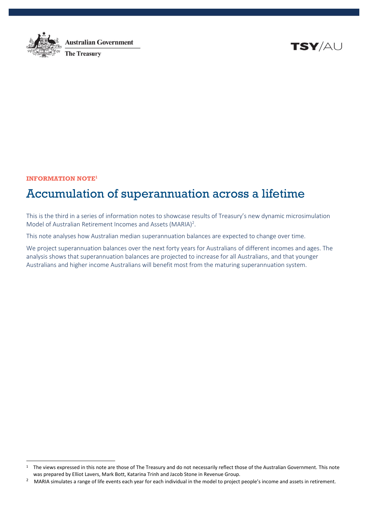

**Australian Government The Treasury** 

TSY/AU

**INFORMATION NOTE<sup>1</sup>**

 $\overline{a}$ 

# Accumulation of superannuation across a lifetime

This is the third in a series of information notes to showcase results of Treasury's new dynamic microsimulation Model of Australian Retirement Incomes and Assets (MARIA)<sup>2</sup>.

This note analyses how Australian median superannuation balances are expected to change over time.

We project superannuation balances over the next forty years for Australians of different incomes and ages. The analysis shows that superannuation balances are projected to increase for all Australians, and that younger Australians and higher income Australians will benefit most from the maturing superannuation system.

<sup>&</sup>lt;sup>1</sup> The views expressed in this note are those of The Treasury and do not necessarily reflect those of the Australian Government. This note was prepared by Elliot Lavers, Mark Bott, Katarina Trinh and Jacob Stone in Revenue Group.

<sup>2</sup> MARIA simulates a range of life events each year for each individual in the model to project people's income and assets in retirement.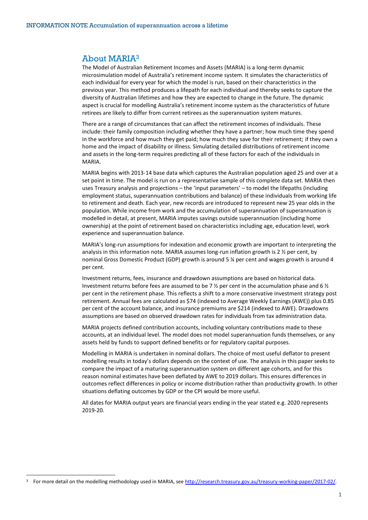#### About MARIA<sup>3</sup>

The Model of Australian Retirement Incomes and Assets (MARIA) is a long-term dynamic microsimulation model of Australia's retirement income system. It simulates the characteristics of each individual for every year for which the model is run, based on their characteristics in the previous year. This method produces a lifepath for each individual and thereby seeks to capture the diversity of Australian lifetimes and how they are expected to change in the future. The dynamic aspect is crucial for modelling Australia's retirement income system as the characteristics of future retirees are likely to differ from current retirees as the superannuation system matures.

There are a range of circumstances that can affect the retirement incomes of individuals. These include: their family composition including whether they have a partner; how much time they spend in the workforce and how much they get paid; how much they save for their retirement; if they own a home and the impact of disability or illness. Simulating detailed distributions of retirement income and assets in the long-term requires predicting all of these factors for each of the individuals in MARIA.

MARIA begins with 2013-14 base data which captures the Australian population aged 25 and over at a set point in time. The model is run on a representative sample of this complete data set. MARIA then uses Treasury analysis and projections – the 'input parameters' – to model the lifepaths (including employment status, superannuation contributions and balance) of these individuals from working life to retirement and death. Each year, new records are introduced to represent new 25 year olds in the population. While income from work and the accumulation of superannuation of superannuation is modelled in detail, at present, MARIA imputes savings outside superannuation (including home ownership) at the point of retirement based on characteristics including age, education level, work experience and superannuation balance.

MARIA's long-run assumptions for indexation and economic growth are important to interpreting the analysis in this information note. MARIA assumes long-run inflation growth is 2  $\frac{1}{2}$  per cent, by nominal Gross Domestic Product (GDP) growth is around 5 ¼ per cent and wages growth is around 4 per cent.

Investment returns, fees, insurance and drawdown assumptions are based on historical data. Investment returns before fees are assumed to be 7  $\frac{1}{2}$  per cent in the accumulation phase and 6  $\frac{1}{2}$ per cent in the retirement phase. This reflects a shift to a more conservative investment strategy post retirement. Annual fees are calculated as \$74 (indexed to Average Weekly Earnings (AWE)) plus 0.85 per cent of the account balance, and insurance premiums are \$214 (indexed to AWE). Drawdowns assumptions are based on observed drawdown rates for individuals from tax administration data.

MARIA projects defined contribution accounts, including voluntary contributions made to these accounts, at an individual level. The model does not model superannuation funds themselves, or any assets held by funds to support defined benefits or for regulatory capital purposes.

Modelling in MARIA is undertaken in nominal dollars. The choice of most useful deflator to present modelling results in today's dollars depends on the context of use. The analysis in this paper seeks to compare the impact of a maturing superannuation system on different age cohorts, and for this reason nominal estimates have been deflated by AWE to 2019 dollars. This ensures differences in outcomes reflect differences in policy or income distribution rather than productivity growth. In other situations deflating outcomes by GDP or the CPI would be more useful.

All dates for MARIA output years are financial years ending in the year stated e.g. 2020 represents 2019-20.

 $\overline{a}$ 

<sup>&</sup>lt;sup>3</sup> For more detail on the modelling methodology used in MARIA, se[e http://research.treasury.gov.au/treasury-working-paper/2017-02/.](http://research.treasury.gov.au/treasury-working-paper/2017-02/)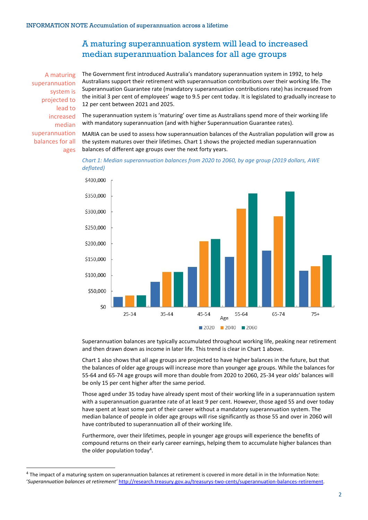# A maturing superannuation system will lead to increased median superannuation balances for all age groups

A maturing superannuation system is projected to lead to increased median superannuation balances for all ages

 $\overline{a}$ 

The Government first introduced Australia's mandatory superannuation system in 1992, to help Australians support their retirement with superannuation contributions over their working life. The Superannuation Guarantee rate (mandatory superannuation contributions rate) has increased from the initial 3 per cent of employees' wage to 9.5 per cent today. It is legislated to gradually increase to 12 per cent between 2021 and 2025.

The superannuation system is 'maturing' over time as Australians spend more of their working life with mandatory superannuation (and with higher Superannuation Guarantee rates).

MARIA can be used to assess how superannuation balances of the Australian population will grow as the system matures over their lifetimes. Chart 1 shows the projected median superannuation balances of different age groups over the next forty years.





Superannuation balances are typically accumulated throughout working life, peaking near retirement and then drawn down as income in later life. This trend is clear in Chart 1 above.

Chart 1 also shows that all age groups are projected to have higher balances in the future, but that the balances of older age groups will increase more than younger age groups. While the balances for 55-64 and 65-74 age groups will more than double from 2020 to 2060, 25-34 year olds' balances will be only 15 per cent higher after the same period.

Those aged under 35 today have already spent most of their working life in a superannuation system with a superannuation guarantee rate of at least 9 per cent. However, those aged 55 and over today have spent at least some part of their career without a mandatory superannuation system. The median balance of people in older age groups will rise significantly as those 55 and over in 2060 will have contributed to superannuation all of their working life.

Furthermore, over their lifetimes, people in younger age groups will experience the benefits of compound returns on their early career earnings, helping them to accumulate higher balances than the older population today<sup>4</sup>.

<sup>&</sup>lt;sup>4</sup> The impact of a maturing system on superannuation balances at retirement is covered in more detail in in the Information Note: '*Superannuation balances at retirement'* [http://research.treasury.gov.au/treasurys-two-cents/superannuation-balances-retirement.](http://research.treasury.gov.au/treasurys-two-cents/superannuation-balances-retirement)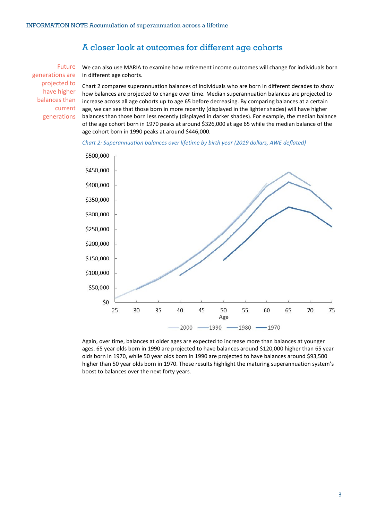### A closer look at outcomes for different age cohorts

Future generations are projected to have higher balances than current generations

We can also use MARIA to examine how retirement income outcomes will change for individuals born in different age cohorts.

Chart 2 compares superannuation balances of individuals who are born in different decades to show how balances are projected to change over time. Median superannuation balances are projected to increase across all age cohorts up to age 65 before decreasing. By comparing balances at a certain age, we can see that those born in more recently (displayed in the lighter shades) will have higher balances than those born less recently (displayed in darker shades). For example, the median balance of the age cohort born in 1970 peaks at around \$326,000 at age 65 while the median balance of the age cohort born in 1990 peaks at around \$446,000.

*Chart 2: Superannuation balances over lifetime by birth year (2019 dollars, AWE deflated)*



Again, over time, balances at older ages are expected to increase more than balances at younger ages. 65 year olds born in 1990 are projected to have balances around \$120,000 higher than 65 year olds born in 1970, while 50 year olds born in 1990 are projected to have balances around \$93,500 higher than 50 year olds born in 1970. These results highlight the maturing superannuation system's boost to balances over the next forty years.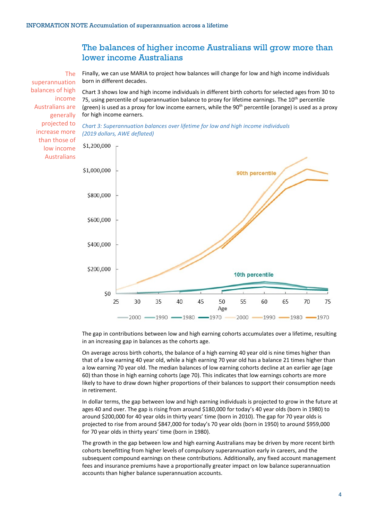# The balances of higher income Australians will grow more than lower income Australians

The superannuation balances of high income Australians are generally projected to increase more than those of low income Australians

Finally, we can use MARIA to project how balances will change for low and high income individuals born in different decades.

Chart 3 shows low and high income individuals in different birth cohorts for selected ages from 30 to 75, using percentile of superannuation balance to proxy for lifetime earnings. The 10<sup>th</sup> percentile (green) is used as a proxy for low income earners, while the  $90<sup>th</sup>$  percentile (orange) is used as a proxy for high income earners.





The gap in contributions between low and high earning cohorts accumulates over a lifetime, resulting in an increasing gap in balances as the cohorts age.

On average across birth cohorts, the balance of a high earning 40 year old is nine times higher than that of a low earning 40 year old, while a high earning 70 year old has a balance 21 times higher than a low earning 70 year old. The median balances of low earning cohorts decline at an earlier age (age 60) than those in high earning cohorts (age 70). This indicates that low earnings cohorts are more likely to have to draw down higher proportions of their balances to support their consumption needs in retirement.

In dollar terms, the gap between low and high earning individuals is projected to grow in the future at ages 40 and over. The gap is rising from around \$180,000 for today's 40 year olds (born in 1980) to around \$200,000 for 40 year olds in thirty years' time (born in 2010). The gap for 70 year olds is projected to rise from around \$847,000 for today's 70 year olds (born in 1950) to around \$959,000 for 70 year olds in thirty years' time (born in 1980).

The growth in the gap between low and high earning Australians may be driven by more recent birth cohorts benefitting from higher levels of compulsory superannuation early in careers, and the subsequent compound earnings on these contributions. Additionally, any fixed account management fees and insurance premiums have a proportionally greater impact on low balance superannuation accounts than higher balance superannuation accounts.